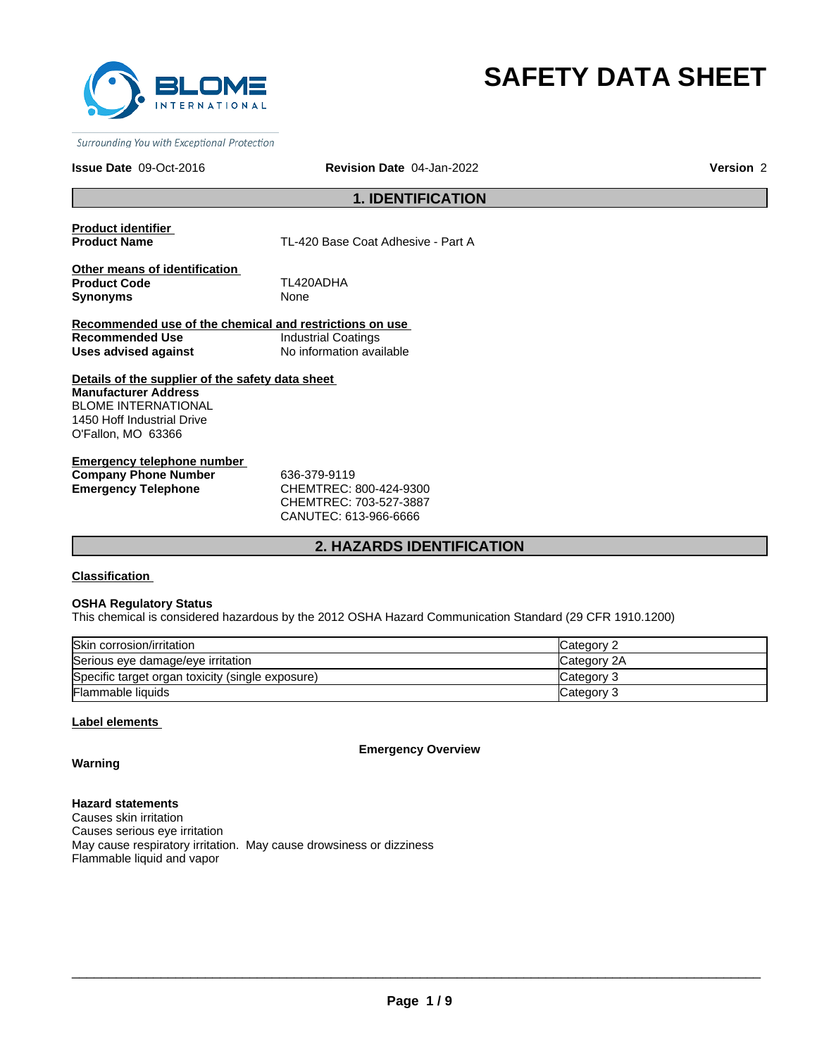

# **SAFETY DATA SHEET**

Surrounding You with Exceptional Protection

#### **Issue Date** 09-Oct-2016 **Revision Date** 04-Jan-2022 **Version** 2

### **1. IDENTIFICATION**

**Product identifier** 

TL-420 Base Coat Adhesive - Part A

**Other means of identification Product Code** TL420ADHA **Synonyms** None

**Recommended use of the chemical and restrictions on use Recommended Use Industrial Coatings<br>
Uses advised against Industrial No information ava Uses advised against** No information available

**Details of the supplier of the safety data sheet Manufacturer Address** BLOME INTERNATIONAL 1450 Hoff Industrial Drive O'Fallon, MO 63366

**Emergency telephone number Company Phone Number** 636-379-9119 **Emergency Telephone** CHEMTREC: 800-424-9300

CHEMTREC: 703-527-3887 CANUTEC: 613-966-6666

### **2. HAZARDS IDENTIFICATION**

**Classification** 

#### **OSHA Regulatory Status**

This chemical is considered hazardous by the 2012 OSHA Hazard Communication Standard (29 CFR 1910.1200)

| Skin corrosion/irritation                        | Category 2  |
|--------------------------------------------------|-------------|
| Serious eye damage/eye irritation                | Category 2A |
| Specific target organ toxicity (single exposure) | Category 3  |
| Flammable liquids                                | Category 3  |

#### **Label elements**

**Emergency Overview**

**Warning**

**Hazard statements** Causes skin irritation Causes serious eye irritation May cause respiratory irritation. May cause drowsiness or dizziness Flammable liquid and vapor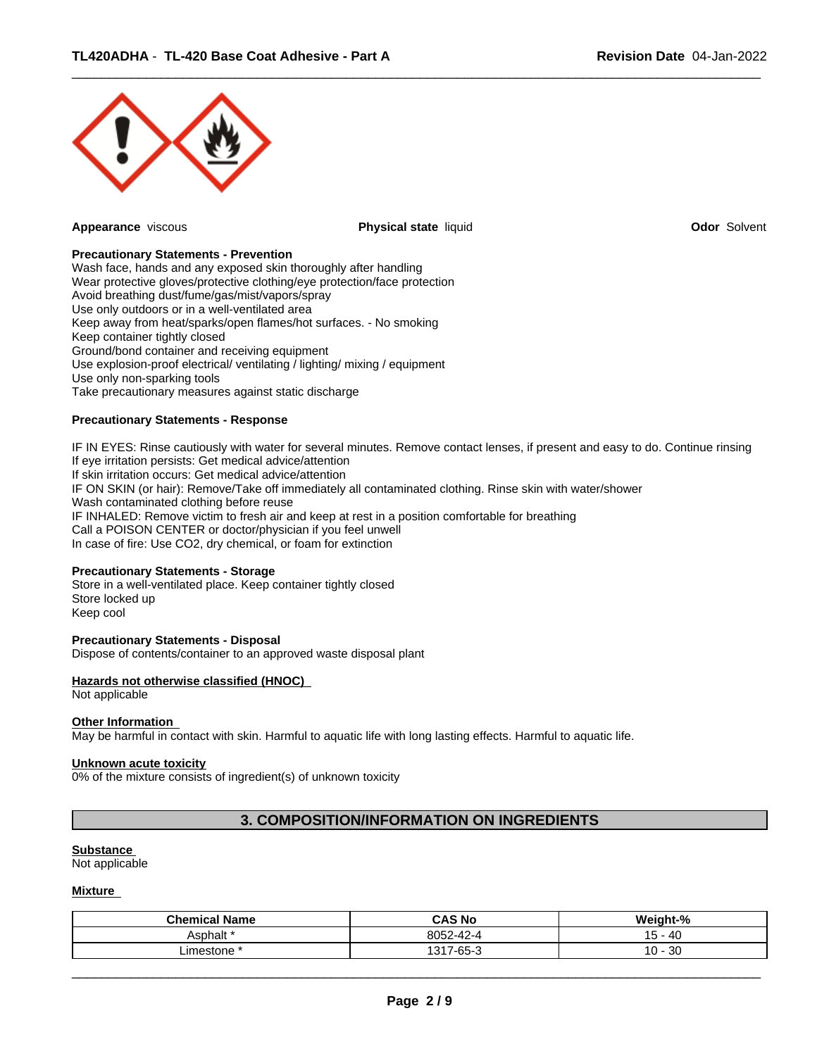

**Appearance** viscous **Physical state** liquid **Odor** Solvent

 $\overline{\phantom{a}}$  ,  $\overline{\phantom{a}}$  ,  $\overline{\phantom{a}}$  ,  $\overline{\phantom{a}}$  ,  $\overline{\phantom{a}}$  ,  $\overline{\phantom{a}}$  ,  $\overline{\phantom{a}}$  ,  $\overline{\phantom{a}}$  ,  $\overline{\phantom{a}}$  ,  $\overline{\phantom{a}}$  ,  $\overline{\phantom{a}}$  ,  $\overline{\phantom{a}}$  ,  $\overline{\phantom{a}}$  ,  $\overline{\phantom{a}}$  ,  $\overline{\phantom{a}}$  ,  $\overline{\phantom{a}}$ 

### **Precautionary Statements - Prevention**

Wash face, hands and any exposed skin thoroughly after handling Wear protective gloves/protective clothing/eye protection/face protection Avoid breathing dust/fume/gas/mist/vapors/spray Use only outdoors or in a well-ventilated area Keep away from heat/sparks/open flames/hot surfaces. - No smoking Keep container tightly closed Ground/bond container and receiving equipment Use explosion-proof electrical/ ventilating / lighting/ mixing / equipment Use only non-sparking tools Take precautionary measures against static discharge

#### **Precautionary Statements - Response**

IF IN EYES: Rinse cautiously with water for several minutes. Remove contact lenses, if present and easy to do. Continue rinsing If eye irritation persists: Get medical advice/attention If skin irritation occurs: Get medical advice/attention IF ON SKIN (or hair): Remove/Take off immediately all contaminated clothing. Rinse skin with water/shower Wash contaminated clothing before reuse IF INHALED: Remove victim to fresh air and keep at rest in a position comfortable for breathing Call a POISON CENTER or doctor/physician if you feel unwell In case of fire: Use CO2, dry chemical, or foam for extinction

#### **Precautionary Statements - Storage**

Store in a well-ventilated place. Keep container tightly closed Store locked up Keep cool

### **Precautionary Statements - Disposal**

Dispose of contents/container to an approved waste disposal plant

### **Hazards not otherwise classified (HNOC)**

Not applicable

#### **Other Information**

May be harmful in contact with skin. Harmful to aquatic life with long lasting effects. Harmful to aquatic life.

#### **Unknown acute toxicity**

0% of the mixture consists of ingredient(s) of unknown toxicity

### **3. COMPOSITION/INFORMATION ON INGREDIENTS**

#### **Substance**

Not applicable

#### **Mixture**

| <b>Chemical Name</b> | <b>CAS No</b>                    | Weight-%           |
|----------------------|----------------------------------|--------------------|
| Asphalt '            | 00E2<br>$\sqrt{2}$<br>oup2-42-4  | - 40<br>. .<br>ּשׁ |
| ∟imestone            | $7 - 65 - 3$<br>1217.<br>$\cdot$ | 30<br>$10 -$       |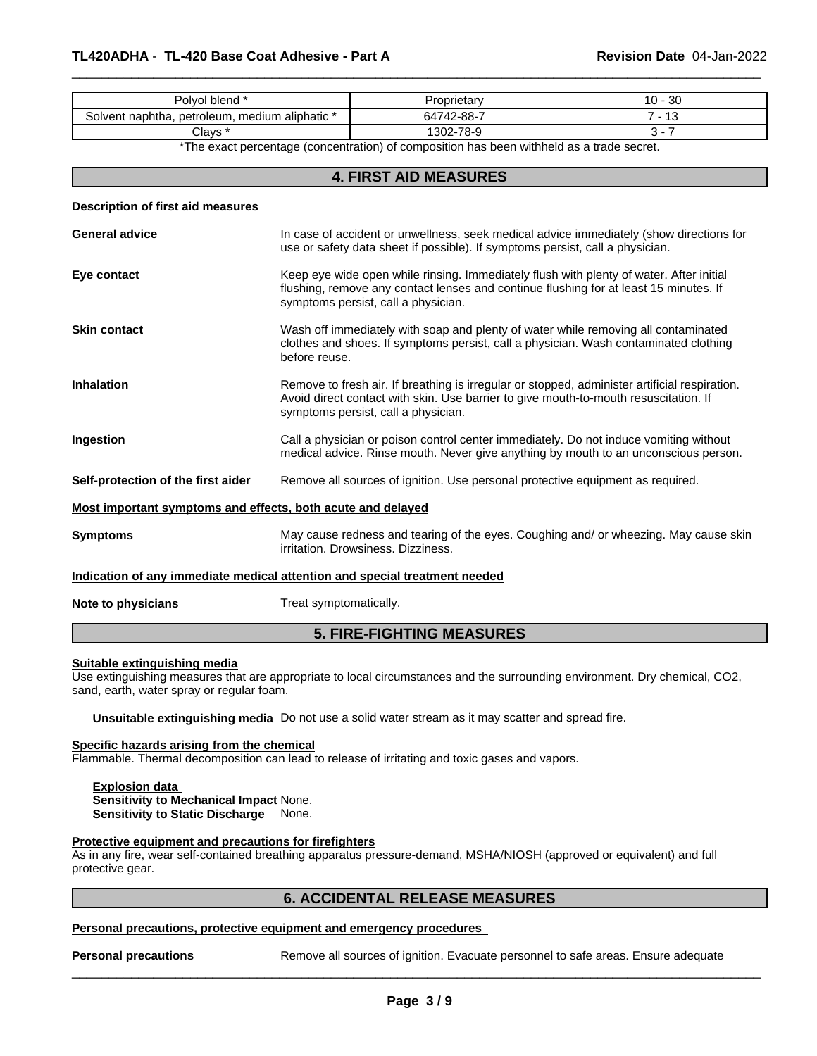| blend<br>⊃lvol '                                               | ≀rietar∖                    | ົດ<br>U -<br>υc |
|----------------------------------------------------------------|-----------------------------|-----------------|
| ., aliphatic *<br>medium<br>. petroleum<br>naphtha.<br>solvent | -<br>$1742 - 88 - 1$<br>″ר^ | 'N              |
| Clays                                                          | 302-78-9                    |                 |

 $\overline{\phantom{a}}$  ,  $\overline{\phantom{a}}$  ,  $\overline{\phantom{a}}$  ,  $\overline{\phantom{a}}$  ,  $\overline{\phantom{a}}$  ,  $\overline{\phantom{a}}$  ,  $\overline{\phantom{a}}$  ,  $\overline{\phantom{a}}$  ,  $\overline{\phantom{a}}$  ,  $\overline{\phantom{a}}$  ,  $\overline{\phantom{a}}$  ,  $\overline{\phantom{a}}$  ,  $\overline{\phantom{a}}$  ,  $\overline{\phantom{a}}$  ,  $\overline{\phantom{a}}$  ,  $\overline{\phantom{a}}$ 

\*The exact percentage (concentration) of composition has been withheld as a trade secret.

### **4. FIRST AID MEASURES**

#### **Description of first aid measures**

| <b>General advice</b>                                       | In case of accident or unwellness, seek medical advice immediately (show directions for<br>use or safety data sheet if possible). If symptoms persist, call a physician.                                                     |
|-------------------------------------------------------------|------------------------------------------------------------------------------------------------------------------------------------------------------------------------------------------------------------------------------|
| Eye contact                                                 | Keep eye wide open while rinsing. Immediately flush with plenty of water. After initial<br>flushing, remove any contact lenses and continue flushing for at least 15 minutes. If<br>symptoms persist, call a physician.      |
| <b>Skin contact</b>                                         | Wash off immediately with soap and plenty of water while removing all contaminated<br>clothes and shoes. If symptoms persist, call a physician. Wash contaminated clothing<br>before reuse.                                  |
| <b>Inhalation</b>                                           | Remove to fresh air. If breathing is irregular or stopped, administer artificial respiration.<br>Avoid direct contact with skin. Use barrier to give mouth-to-mouth resuscitation. If<br>symptoms persist, call a physician. |
| Ingestion                                                   | Call a physician or poison control center immediately. Do not induce vomiting without<br>medical advice. Rinse mouth. Never give anything by mouth to an unconscious person.                                                 |
| Self-protection of the first aider                          | Remove all sources of ignition. Use personal protective equipment as required.                                                                                                                                               |
| Most important symptoms and effects, both acute and delayed |                                                                                                                                                                                                                              |
| <b>Symptoms</b>                                             | May cause redness and tearing of the eyes. Coughing and/ or wheezing. May cause skin<br>irritation. Drowsiness. Dizziness.                                                                                                   |
|                                                             | Indication of any immediate medical attention and special treatment needed                                                                                                                                                   |
| Note to physicians                                          | Treat symptomatically.                                                                                                                                                                                                       |

### **5. FIRE-FIGHTING MEASURES**

#### **Suitable extinguishing media**

Use extinguishing measures that are appropriate to local circumstances and the surrounding environment. Dry chemical, CO2, sand, earth, water spray or regular foam.

**Unsuitable extinguishing media** Do not use a solid water stream as it may scatter and spread fire.

#### **Specific hazards arising from the chemical**

Flammable. Thermal decomposition can lead to release of irritating and toxic gases and vapors.

#### **Explosion data Sensitivity to Mechanical Impact** None. **Sensitivity to Static Discharge** None.

### **Protective equipment and precautions for firefighters**

As in any fire, wear self-contained breathing apparatus pressure-demand, MSHA/NIOSH (approved or equivalent) and full protective gear.

### **6. ACCIDENTAL RELEASE MEASURES**

### **Personal precautions, protective equipment and emergency procedures**

**Personal precautions** Remove all sources of ignition. Evacuate personnel to safe areas. Ensure adequate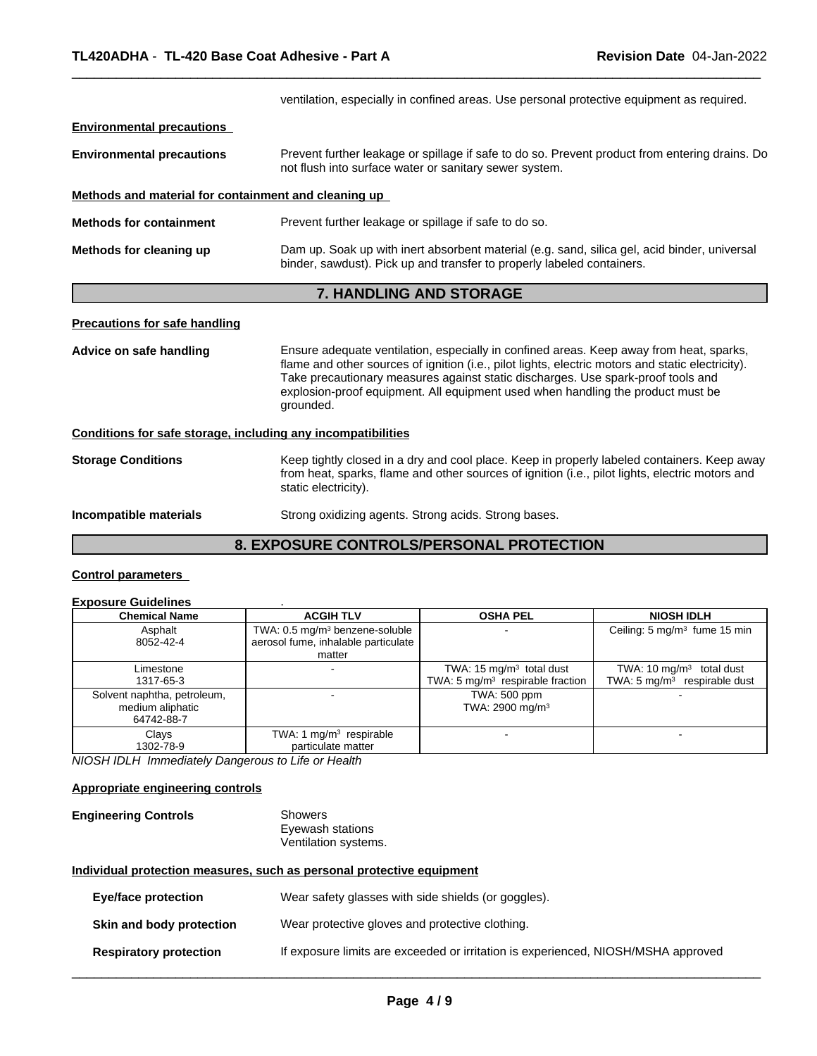|                                                                                                                                                                                                                                                     | ventilation, especially in confined areas. Use personal protective equipment as required.                                                                                                                                                                                                                                                                                        |  |  |  |  |
|-----------------------------------------------------------------------------------------------------------------------------------------------------------------------------------------------------------------------------------------------------|----------------------------------------------------------------------------------------------------------------------------------------------------------------------------------------------------------------------------------------------------------------------------------------------------------------------------------------------------------------------------------|--|--|--|--|
| <b>Environmental precautions</b>                                                                                                                                                                                                                    |                                                                                                                                                                                                                                                                                                                                                                                  |  |  |  |  |
| <b>Environmental precautions</b>                                                                                                                                                                                                                    | Prevent further leakage or spillage if safe to do so. Prevent product from entering drains. Do<br>not flush into surface water or sanitary sewer system.                                                                                                                                                                                                                         |  |  |  |  |
| Methods and material for containment and cleaning up                                                                                                                                                                                                |                                                                                                                                                                                                                                                                                                                                                                                  |  |  |  |  |
| <b>Methods for containment</b>                                                                                                                                                                                                                      | Prevent further leakage or spillage if safe to do so.                                                                                                                                                                                                                                                                                                                            |  |  |  |  |
| Methods for cleaning up                                                                                                                                                                                                                             | Dam up. Soak up with inert absorbent material (e.g. sand, silica gel, acid binder, universal<br>binder, sawdust). Pick up and transfer to properly labeled containers.                                                                                                                                                                                                           |  |  |  |  |
|                                                                                                                                                                                                                                                     | 7. HANDLING AND STORAGE                                                                                                                                                                                                                                                                                                                                                          |  |  |  |  |
| <b>Precautions for safe handling</b>                                                                                                                                                                                                                |                                                                                                                                                                                                                                                                                                                                                                                  |  |  |  |  |
| Advice on safe handling                                                                                                                                                                                                                             | Ensure adequate ventilation, especially in confined areas. Keep away from heat, sparks,<br>flame and other sources of ignition (i.e., pilot lights, electric motors and static electricity).<br>Take precautionary measures against static discharges. Use spark-proof tools and<br>explosion-proof equipment. All equipment used when handling the product must be<br>grounded. |  |  |  |  |
| Conditions for safe storage, including any incompatibilities                                                                                                                                                                                        |                                                                                                                                                                                                                                                                                                                                                                                  |  |  |  |  |
| Keep tightly closed in a dry and cool place. Keep in properly labeled containers. Keep away<br><b>Storage Conditions</b><br>from heat, sparks, flame and other sources of ignition (i.e., pilot lights, electric motors and<br>static electricity). |                                                                                                                                                                                                                                                                                                                                                                                  |  |  |  |  |
| Incompatible materials                                                                                                                                                                                                                              | Strong oxidizing agents. Strong acids. Strong bases.                                                                                                                                                                                                                                                                                                                             |  |  |  |  |
|                                                                                                                                                                                                                                                     | <b>8. EXPOSURE CONTROLS/PERSONAL PROTECTION</b>                                                                                                                                                                                                                                                                                                                                  |  |  |  |  |

 $\overline{\phantom{a}}$  ,  $\overline{\phantom{a}}$  ,  $\overline{\phantom{a}}$  ,  $\overline{\phantom{a}}$  ,  $\overline{\phantom{a}}$  ,  $\overline{\phantom{a}}$  ,  $\overline{\phantom{a}}$  ,  $\overline{\phantom{a}}$  ,  $\overline{\phantom{a}}$  ,  $\overline{\phantom{a}}$  ,  $\overline{\phantom{a}}$  ,  $\overline{\phantom{a}}$  ,  $\overline{\phantom{a}}$  ,  $\overline{\phantom{a}}$  ,  $\overline{\phantom{a}}$  ,  $\overline{\phantom{a}}$ 

### **Control parameters**

# **Exposure Guidelines** .

| <b>Chemical Name</b>               | <b>ACGIH TLV</b>                           | <b>OSHA PEL</b>                             | <b>NIOSH IDLH</b>                        |  |
|------------------------------------|--------------------------------------------|---------------------------------------------|------------------------------------------|--|
| Asphalt                            | TWA: 0.5 mg/m <sup>3</sup> benzene-soluble |                                             | Ceiling: 5 mg/m <sup>3</sup> fume 15 min |  |
| 8052-42-4                          | aerosol fume, inhalable particulate        |                                             |                                          |  |
|                                    | matter                                     |                                             |                                          |  |
| Limestone                          |                                            | TWA: 15 mg/m <sup>3</sup> total dust        | TWA: $10 \text{ mg/m}^3$ total dust      |  |
| 1317-65-3                          |                                            | TWA: $5 \text{ mg/m}^3$ respirable fraction | TWA: $5 \text{ mg/m}^3$ respirable dust  |  |
| Solvent naphtha, petroleum,        |                                            | TWA: 500 ppm                                |                                          |  |
| medium aliphatic                   |                                            | TWA: 2900 mg/m <sup>3</sup>                 |                                          |  |
| 64742-88-7                         |                                            |                                             |                                          |  |
| TWA: 1 $mg/m3$ respirable<br>Clays |                                            |                                             |                                          |  |
| 1302-78-9                          | particulate matter                         |                                             |                                          |  |

*NIOSH IDLH Immediately Dangerous to Life or Health*

### **Appropriate engineering controls**

| <b>Engineering Controls</b> | Showers              |  |
|-----------------------------|----------------------|--|
|                             | Eyewash stations     |  |
|                             | Ventilation systems. |  |

### **Individual protection measures, such as personal protective equipment**

| Eye/face protection           | Wear safety glasses with side shields (or goggles).                               |
|-------------------------------|-----------------------------------------------------------------------------------|
| Skin and body protection      | Wear protective gloves and protective clothing.                                   |
| <b>Respiratory protection</b> | If exposure limits are exceeded or irritation is experienced, NIOSH/MSHA approved |
|                               |                                                                                   |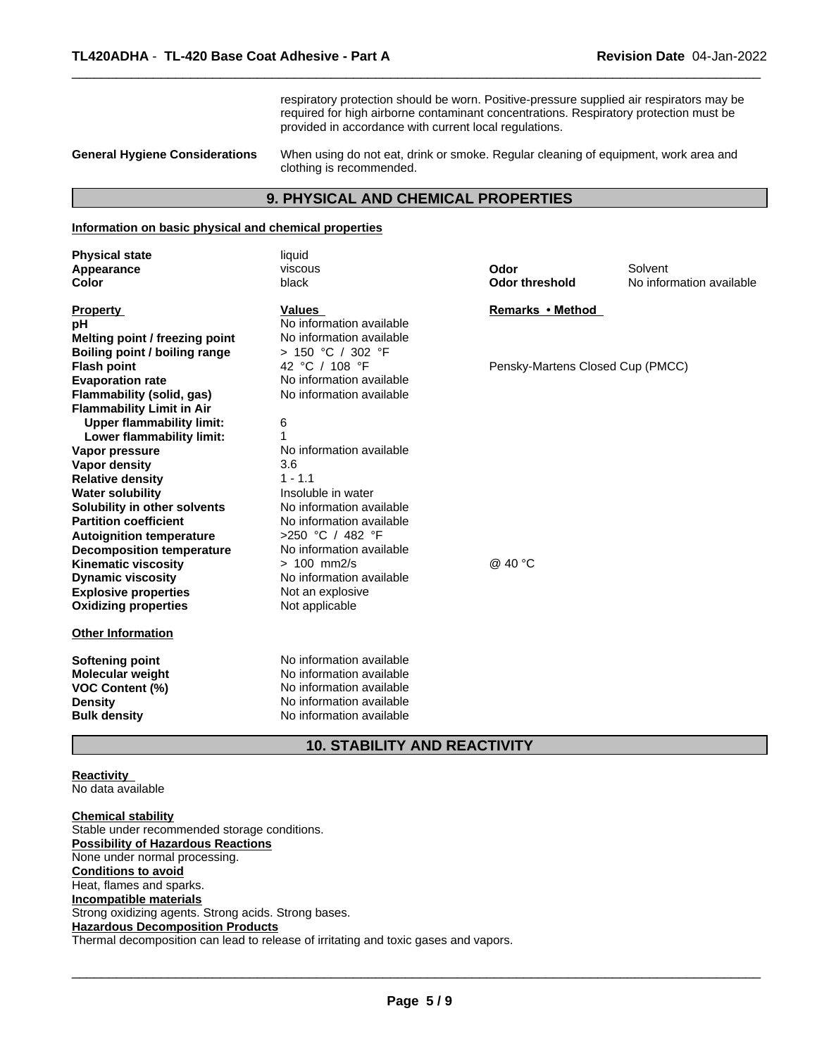respiratory protection should be worn. Positive-pressure supplied air respirators may be required for high airborne contaminant concentrations. Respiratory protection must be provided in accordance with current local regulations.

 $\overline{\phantom{a}}$  ,  $\overline{\phantom{a}}$  ,  $\overline{\phantom{a}}$  ,  $\overline{\phantom{a}}$  ,  $\overline{\phantom{a}}$  ,  $\overline{\phantom{a}}$  ,  $\overline{\phantom{a}}$  ,  $\overline{\phantom{a}}$  ,  $\overline{\phantom{a}}$  ,  $\overline{\phantom{a}}$  ,  $\overline{\phantom{a}}$  ,  $\overline{\phantom{a}}$  ,  $\overline{\phantom{a}}$  ,  $\overline{\phantom{a}}$  ,  $\overline{\phantom{a}}$  ,  $\overline{\phantom{a}}$ 

**General Hygiene Considerations** When using do not eat, drink or smoke. Regular cleaning of equipment, work area and clothing is recommended.

### **9. PHYSICAL AND CHEMICAL PROPERTIES**

### **Information on basic physical and chemical properties**

| <b>Physical state</b>                                      | liquid                                    |                                  |                          |
|------------------------------------------------------------|-------------------------------------------|----------------------------------|--------------------------|
| Appearance                                                 | viscous                                   | Odor                             | Solvent                  |
| <b>Color</b>                                               | black                                     | <b>Odor threshold</b>            | No information available |
| <b>Property</b>                                            | <b>Values</b>                             | Remarks • Method                 |                          |
| рH                                                         | No information available                  |                                  |                          |
| Melting point / freezing point                             | No information available                  |                                  |                          |
| <b>Boiling point / boiling range</b>                       | > 150 °C / 302 °F                         |                                  |                          |
| <b>Flash point</b>                                         | 42 °C / 108 °F                            | Pensky-Martens Closed Cup (PMCC) |                          |
| <b>Evaporation rate</b>                                    | No information available                  |                                  |                          |
| Flammability (solid, gas)                                  | No information available                  |                                  |                          |
| <b>Flammability Limit in Air</b>                           |                                           |                                  |                          |
| <b>Upper flammability limit:</b>                           | 6                                         |                                  |                          |
| Lower flammability limit:                                  |                                           |                                  |                          |
| Vapor pressure                                             | No information available                  |                                  |                          |
| Vapor density                                              | 3.6                                       |                                  |                          |
| <b>Relative density</b>                                    | $1 - 1.1$                                 |                                  |                          |
| <b>Water solubility</b>                                    | Insoluble in water                        |                                  |                          |
| Solubility in other solvents                               | No information available                  |                                  |                          |
| <b>Partition coefficient</b>                               | No information available                  |                                  |                          |
| <b>Autoignition temperature</b>                            | >250 °C / 482 °F                          |                                  |                          |
| <b>Decomposition temperature</b>                           | No information available                  |                                  |                          |
| <b>Kinematic viscosity</b>                                 | $> 100$ mm2/s<br>No information available | @ 40 °C                          |                          |
| <b>Dynamic viscosity</b>                                   |                                           |                                  |                          |
| <b>Explosive properties</b><br><b>Oxidizing properties</b> | Not an explosive<br>Not applicable        |                                  |                          |
|                                                            |                                           |                                  |                          |
| <b>Other Information</b>                                   |                                           |                                  |                          |
| <b>Softening point</b>                                     | No information available                  |                                  |                          |
| Molecular weight                                           | No information available                  |                                  |                          |
| <b>VOC Content (%)</b>                                     | No information available                  |                                  |                          |
| Density                                                    | No information available                  |                                  |                          |
| <b>Bulk density</b>                                        | No information available                  |                                  |                          |
|                                                            |                                           |                                  |                          |

### **10. STABILITY AND REACTIVITY**

**Reactivity**  No data available

**Chemical stability** Stable under recommended storage conditions. **Possibility of Hazardous Reactions** None under normal processing. **Conditions to avoid** Heat, flames and sparks. **Incompatible materials** Strong oxidizing agents. Strong acids. Strong bases. **Hazardous Decomposition Products** Thermal decomposition can lead to release of irritating and toxic gases and vapors.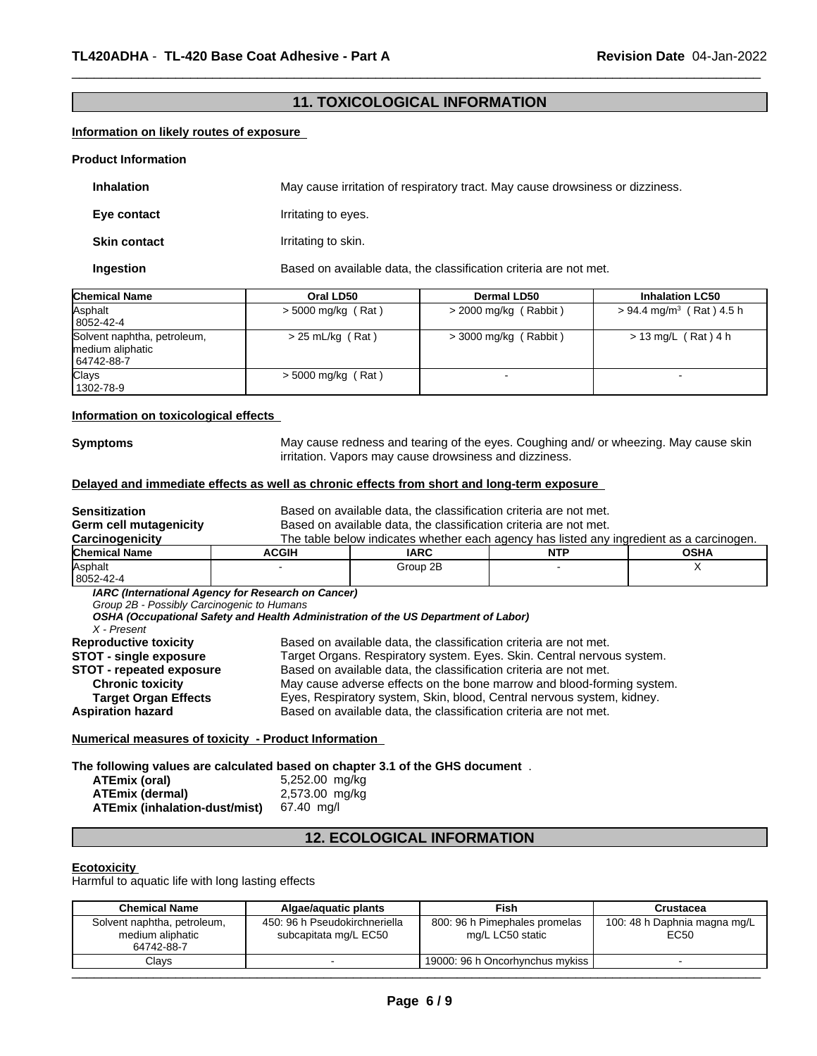### **11. TOXICOLOGICAL INFORMATION**

 $\overline{\phantom{a}}$  ,  $\overline{\phantom{a}}$  ,  $\overline{\phantom{a}}$  ,  $\overline{\phantom{a}}$  ,  $\overline{\phantom{a}}$  ,  $\overline{\phantom{a}}$  ,  $\overline{\phantom{a}}$  ,  $\overline{\phantom{a}}$  ,  $\overline{\phantom{a}}$  ,  $\overline{\phantom{a}}$  ,  $\overline{\phantom{a}}$  ,  $\overline{\phantom{a}}$  ,  $\overline{\phantom{a}}$  ,  $\overline{\phantom{a}}$  ,  $\overline{\phantom{a}}$  ,  $\overline{\phantom{a}}$ 

### **Information on likely routes of exposure**

#### **Product Information**

| <b>Inhalation</b>   | May cause irritation of respiratory tract. May cause drowsiness or dizziness. |
|---------------------|-------------------------------------------------------------------------------|
| Eye contact         | Irritating to eyes.                                                           |
| <b>Skin contact</b> | Irritating to skin.                                                           |
| Ingestion           | Based on available data, the classification criteria are not met.             |

| <b>Chemical Name</b>                                          | Oral LD50            | <b>Dermal LD50</b>      | <b>Inhalation LC50</b>                 |
|---------------------------------------------------------------|----------------------|-------------------------|----------------------------------------|
| Asphalt<br>8052-42-4                                          | $>$ 5000 mg/kg (Rat) | $>$ 2000 mg/kg (Rabbit) | $> 94.4$ mg/m <sup>3</sup> (Rat) 4.5 h |
| Solvent naphtha, petroleum,<br>medium aliphatic<br>64742-88-7 | $> 25$ mL/kg (Rat)   | $>$ 3000 mg/kg (Rabbit) | $> 13$ mg/L (Rat) 4 h                  |
| <b>Clays</b><br>1302-78-9                                     | $>$ 5000 mg/kg (Rat) |                         |                                        |

#### **Information on toxicological effects**

**Symptoms** May cause redness and tearing of the eyes. Coughing and/ or wheezing. May cause skin irritation. Vapors may cause drowsiness and dizziness.

### **Delayed and immediate effects as well as chronic effects from short and long-term exposure**

| Sensitization<br>Germ cell mutagenicity                   | Based on available data, the classification criteria are not met.                                                                        |                                                                                                                                                               |            |             |  |  |
|-----------------------------------------------------------|------------------------------------------------------------------------------------------------------------------------------------------|---------------------------------------------------------------------------------------------------------------------------------------------------------------|------------|-------------|--|--|
| Carcinogenicity                                           |                                                                                                                                          | Based on available data, the classification criteria are not met.<br>The table below indicates whether each agency has listed any ingredient as a carcinogen. |            |             |  |  |
| Chemical Name                                             | <b>ACGIH</b>                                                                                                                             | <b>IARC</b>                                                                                                                                                   | <b>NTP</b> | <b>OSHA</b> |  |  |
| Asphalt                                                   |                                                                                                                                          | Group 2B                                                                                                                                                      |            |             |  |  |
| 8052-42-4                                                 |                                                                                                                                          |                                                                                                                                                               |            |             |  |  |
| Group 2B - Possibly Carcinogenic to Humans<br>X - Present | IARC (International Agency for Research on Cancer)<br>OSHA (Occupational Safety and Health Administration of the US Department of Labor) |                                                                                                                                                               |            |             |  |  |
| <b>Reproductive toxicity</b>                              | Based on available data, the classification criteria are not met.                                                                        |                                                                                                                                                               |            |             |  |  |
| <b>STOT - single exposure</b>                             | Target Organs. Respiratory system. Eyes. Skin. Central nervous system.                                                                   |                                                                                                                                                               |            |             |  |  |
| <b>STOT - repeated exposure</b>                           | Based on available data, the classification criteria are not met.                                                                        |                                                                                                                                                               |            |             |  |  |
| <b>Chronic toxicity</b>                                   | May cause adverse effects on the bone marrow and blood-forming system.                                                                   |                                                                                                                                                               |            |             |  |  |
| <b>Target Organ Effects</b>                               | Eyes, Respiratory system, Skin, blood, Central nervous system, kidney.                                                                   |                                                                                                                                                               |            |             |  |  |
| <b>Aspiration hazard</b>                                  | Based on available data, the classification criteria are not met.                                                                        |                                                                                                                                                               |            |             |  |  |

**Numerical measures of toxicity - Product Information** 

#### **The following values are calculated based on chapter 3.1 of the GHS document** .

| ATEmix (oral)                 | 5,252.00 mg/kg |
|-------------------------------|----------------|
| <b>ATEmix (dermal)</b>        | 2,573.00 mg/kg |
| ATEmix (inhalation-dust/mist) | 67.40 ma/l     |

### **12. ECOLOGICAL INFORMATION**

#### **Ecotoxicity**

Harmful to aquatic life with long lasting effects

| Solvent naphtha, petroleum,<br>450: 96 h Pseudokirchneriella<br>100: 48 h Daphnia magna mg/L<br>800: 96 h Pimephales promelas<br>mg/L LC50 static<br>subcapitata mg/L EC50<br>EC50<br>medium aliphatic<br>64742-88-7<br>Clavs<br>19000: 96 h Oncorhynchus mykiss l | <b>Chemical Name</b> | Algae/aguatic plants | <b>Fish</b> | Crustacea |
|--------------------------------------------------------------------------------------------------------------------------------------------------------------------------------------------------------------------------------------------------------------------|----------------------|----------------------|-------------|-----------|
|                                                                                                                                                                                                                                                                    |                      |                      |             |           |
|                                                                                                                                                                                                                                                                    |                      |                      |             |           |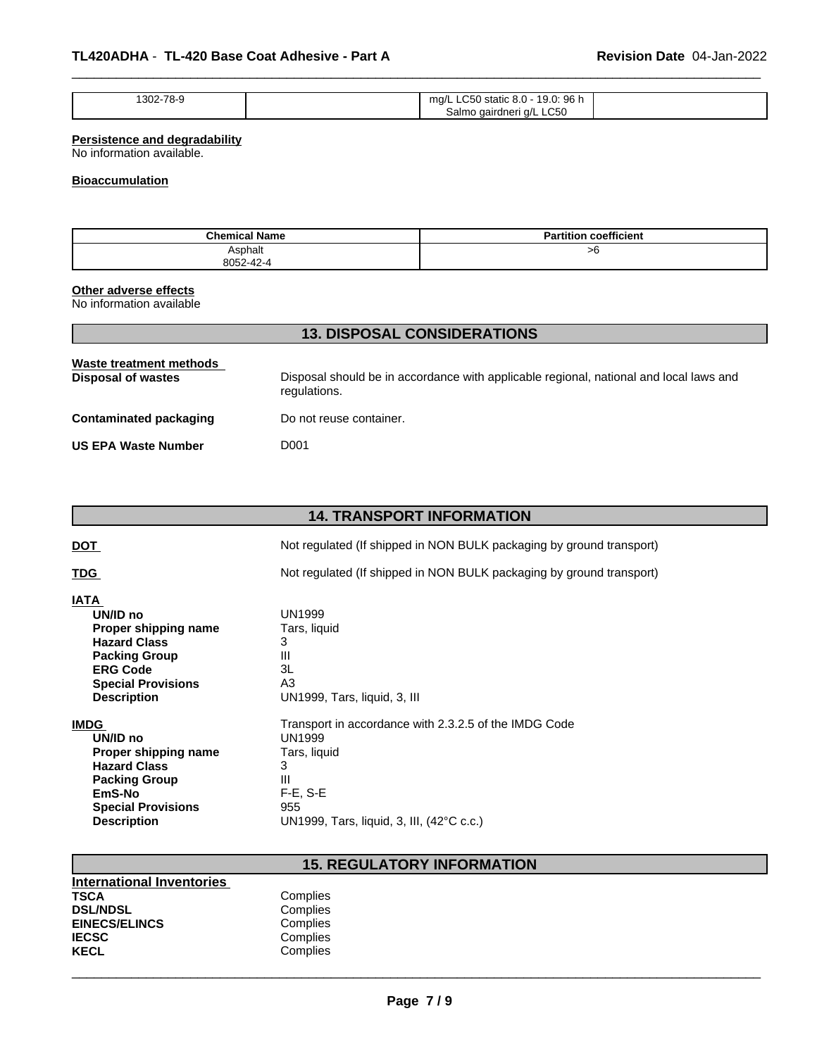| 1302-78-9<br>. | $\sim$ $\sim$ $\sim$<br>ิ 96 h<br>ma/l<br>static<br>9.U.<br>∼<br>$0.0 -$<br>در در ب |  |
|----------------|-------------------------------------------------------------------------------------|--|
|                | a/L LC50<br>Salmo<br>اaairdneri (                                                   |  |

 $\overline{\phantom{a}}$  ,  $\overline{\phantom{a}}$  ,  $\overline{\phantom{a}}$  ,  $\overline{\phantom{a}}$  ,  $\overline{\phantom{a}}$  ,  $\overline{\phantom{a}}$  ,  $\overline{\phantom{a}}$  ,  $\overline{\phantom{a}}$  ,  $\overline{\phantom{a}}$  ,  $\overline{\phantom{a}}$  ,  $\overline{\phantom{a}}$  ,  $\overline{\phantom{a}}$  ,  $\overline{\phantom{a}}$  ,  $\overline{\phantom{a}}$  ,  $\overline{\phantom{a}}$  ,  $\overline{\phantom{a}}$ 

### **Persistence and degradability**

No information available.

### **Bioaccumulation**

| <b>Chemical Name</b> | coefficient<br><b>Partition</b> |
|----------------------|---------------------------------|
| Asphalt              | >6                              |
| 8052-42-4            |                                 |

#### **Other adverse effects**

No information available

| Waste treatment methods<br>Disposal of wastes | Disposal should be in accordance with applicable regional, national and local laws and<br>regulations. |
|-----------------------------------------------|--------------------------------------------------------------------------------------------------------|
| Contaminated packaging                        | Do not reuse container.                                                                                |
| US EPA Waste Number                           | D001                                                                                                   |

**13. DISPOSAL CONSIDERATIONS**

|                                                                                                                                                                      | <b>14. TRANSPORT INFORMATION</b>                                                         |
|----------------------------------------------------------------------------------------------------------------------------------------------------------------------|------------------------------------------------------------------------------------------|
| <u>DOT</u>                                                                                                                                                           | Not regulated (If shipped in NON BULK packaging by ground transport)                     |
| <u>TDG</u>                                                                                                                                                           | Not regulated (If shipped in NON BULK packaging by ground transport)                     |
| <b>IATA</b><br>UN/ID no<br>Proper shipping name<br><b>Hazard Class</b><br><b>Packing Group</b><br><b>ERG Code</b><br><b>Special Provisions</b><br><b>Description</b> | UN1999<br>Tars, liquid<br>3<br>Ш<br>3L<br>A <sub>3</sub><br>UN1999, Tars, liquid, 3, III |
| <b>IMDG</b>                                                                                                                                                          | Transport in accordance with 2.3.2.5 of the IMDG Code                                    |
| UN/ID no                                                                                                                                                             | <b>UN1999</b>                                                                            |
| Proper shipping name                                                                                                                                                 | Tars, liquid                                                                             |
| <b>Hazard Class</b>                                                                                                                                                  | 3                                                                                        |
| <b>Packing Group</b>                                                                                                                                                 | Ш                                                                                        |
| EmS-No                                                                                                                                                               | $F-E$ , $S-E$                                                                            |
| <b>Special Provisions</b>                                                                                                                                            | 955                                                                                      |
| <b>Description</b>                                                                                                                                                   | UN1999, Tars, liquid, 3, III, (42°C c.c.)                                                |

## **15. REGULATORY INFORMATION**

| <b>International Inventories</b> |          |  |
|----------------------------------|----------|--|
| TSCA                             | Complies |  |
| <b>DSL/NDSL</b>                  | Complies |  |
| <b>EINECS/ELINCS</b>             | Complies |  |
| <b>IECSC</b>                     | Complies |  |
| KECL                             | Complies |  |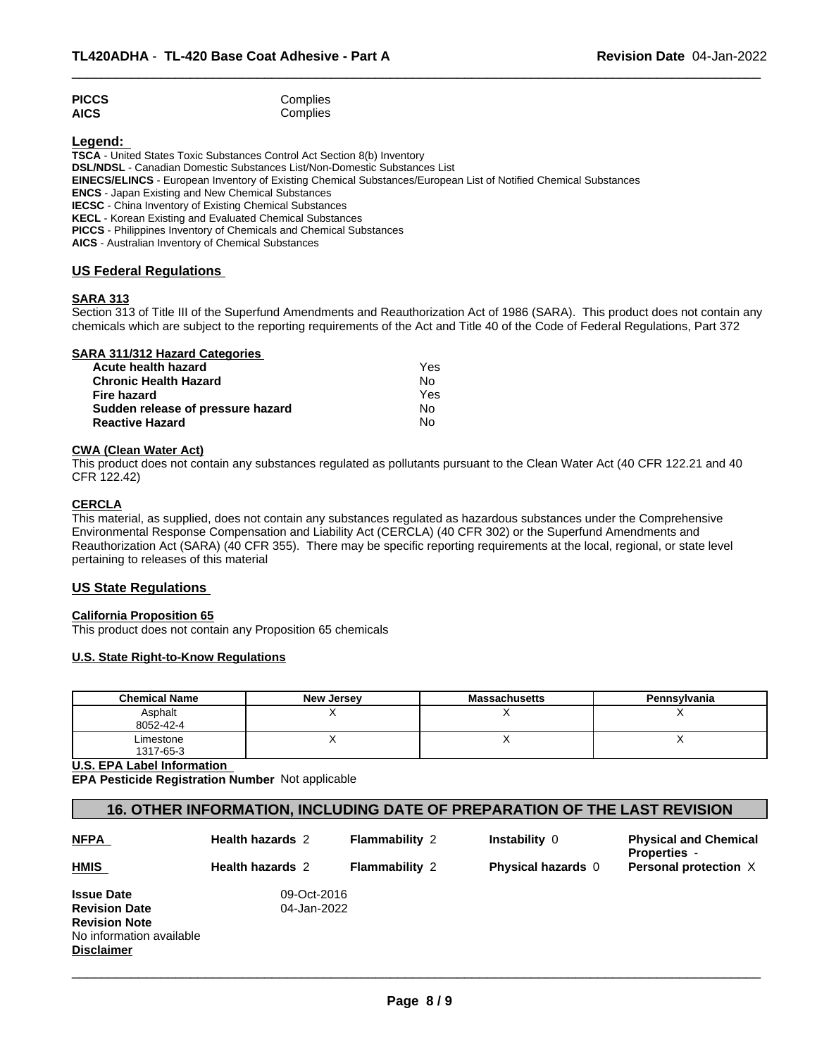| <b>PICCS</b> | Complies |
|--------------|----------|
| <b>AICS</b>  | Complies |

### **Legend:**

**TSCA** - United States Toxic Substances Control Act Section 8(b) Inventory **DSL/NDSL** - Canadian Domestic Substances List/Non-Domestic Substances List **EINECS/ELINCS** - European Inventory of Existing Chemical Substances/European List of Notified Chemical Substances **ENCS** - Japan Existing and New Chemical Substances **IECSC** - China Inventory of Existing Chemical Substances **KECL** - Korean Existing and Evaluated Chemical Substances **PICCS** - Philippines Inventory of Chemicals and Chemical Substances

**AICS** - Australian Inventory of Chemical Substances

### **US Federal Regulations**

### **SARA 313**

Section 313 of Title III of the Superfund Amendments and Reauthorization Act of 1986 (SARA). This product does not contain any chemicals which are subject to the reporting requirements of the Act and Title 40 of the Code of Federal Regulations, Part 372

 $\overline{\phantom{a}}$  ,  $\overline{\phantom{a}}$  ,  $\overline{\phantom{a}}$  ,  $\overline{\phantom{a}}$  ,  $\overline{\phantom{a}}$  ,  $\overline{\phantom{a}}$  ,  $\overline{\phantom{a}}$  ,  $\overline{\phantom{a}}$  ,  $\overline{\phantom{a}}$  ,  $\overline{\phantom{a}}$  ,  $\overline{\phantom{a}}$  ,  $\overline{\phantom{a}}$  ,  $\overline{\phantom{a}}$  ,  $\overline{\phantom{a}}$  ,  $\overline{\phantom{a}}$  ,  $\overline{\phantom{a}}$ 

| <b>SARA 311/312 Hazard Categories</b> |  |
|---------------------------------------|--|
|---------------------------------------|--|

| Acute health hazard               | Yes |  |
|-----------------------------------|-----|--|
| <b>Chronic Health Hazard</b>      | N٥  |  |
| Fire hazard                       | Yes |  |
| Sudden release of pressure hazard | N٥  |  |
| <b>Reactive Hazard</b>            | N٥  |  |

#### **CWA (Clean Water Act)**

This product does not contain any substances regulated as pollutants pursuant to the Clean Water Act (40 CFR 122.21 and 40 CFR 122.42)

#### **CERCLA**

This material, as supplied, does not contain any substances regulated as hazardous substances under the Comprehensive Environmental Response Compensation and Liability Act (CERCLA) (40 CFR 302) or the Superfund Amendments and Reauthorization Act (SARA) (40 CFR 355). There may be specific reporting requirements at the local, regional, or state level pertaining to releases of this material

### **US State Regulations**

### **California Proposition 65**

This product does not contain any Proposition 65 chemicals

### **U.S. State Right-to-Know Regulations**

| <b>Chemical Name</b>   | <b>New Jersey</b> | <b>Massachusetts</b> | Pennsylvania |
|------------------------|-------------------|----------------------|--------------|
| Asphalt<br>8052-42-4   |                   |                      |              |
| Limestone<br>1317-65-3 |                   |                      | $\cdot$      |

**U.S. EPA Label Information** 

**EPA Pesticide Registration Number** Not applicable

### **16. OTHER INFORMATION, INCLUDING DATE OF PREPARATION OF THE LAST REVISION**

| <b>NFPA</b>              | <b>Health hazards 2</b> | <b>Flammability 2</b> | Instability 0             | <b>Physical and Chemical</b><br><b>Properties</b> - |
|--------------------------|-------------------------|-----------------------|---------------------------|-----------------------------------------------------|
| <b>HMIS</b>              | <b>Health hazards 2</b> | <b>Flammability 2</b> | <b>Physical hazards</b> 0 | <b>Personal protection X</b>                        |
| <b>Issue Date</b>        | 09-Oct-2016             |                       |                           |                                                     |
| <b>Revision Date</b>     | 04-Jan-2022             |                       |                           |                                                     |
| <b>Revision Note</b>     |                         |                       |                           |                                                     |
| No information available |                         |                       |                           |                                                     |
| Disclaimer               |                         |                       |                           |                                                     |